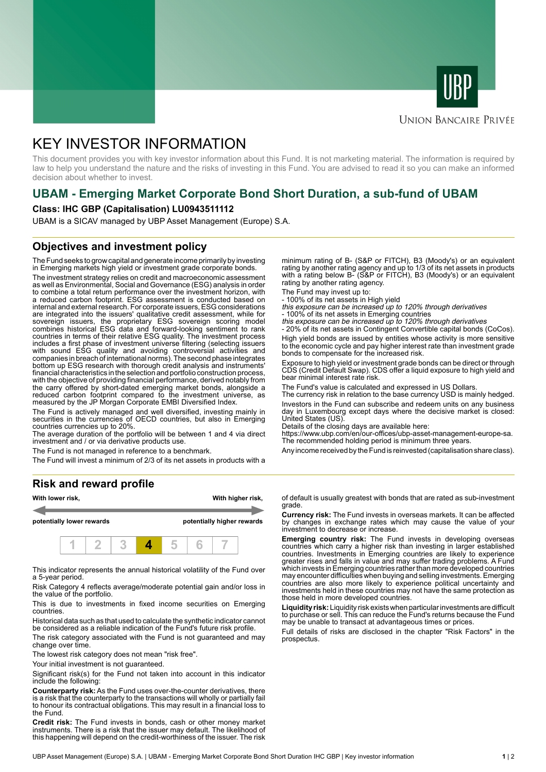



### **UNION BANCAIRE PRIVÉE**

# KEY INVESTOR INFORMATION

This document provides you with key investor information about this Fund. It is not marketing material. The information is required by law to help you understand the nature and the risks of investing in this Fund. You are advised to read it so you can make an informed decision about whether to invest.

# **UBAM - Emerging Market Corporate Bond Short Duration, a sub-fund of UBAM**

#### **Class: IHC GBP (Capitalisation) LU0943511112**

UBAM is a SICAV managed by UBP Asset Management (Europe) S.A.

## **Objectives and investment policy**

The Fund seeks to grow capital and generate income primarily by investing in Emerging markets high yield or investment grade corporate bonds.

The investment strategy relies on credit and macroeconomic assessment as well as Environmental, Social and Governance (ESG) analysis in order to combine a total return performance over the investment horizon, with a reduced carbon footprint. ESG assessment is conducted based on internal and external research. For corporate issuers, ESG considerations are integrated into the issuers' qualitative credit assessment, while for sovereign issuers, the proprietary ESG sovereign scoring model combines historical ESG data and forward-looking sentiment to rank countries in terms of their relative ESG quality. The investment process includes a first phase of investment universe filtering (selecting issuers with sound ESG quality and avoiding controversial activities and companies in breach of international norms). The second phase integrates bottom up ESG research with thorough credit analysis and instruments' financial characteristics in the selection and portfolio construction process, with the objective of providing financial performance, derived notably from the carry offered by short-dated emerging market bonds, alongside a reduced carbon footprint compared to the investment universe, as measured by the JP Morgan Corporate EMBI Diversified Index.

The Fund is actively managed and well diversified, investing mainly in securities in the currencies of OECD countries, but also in Emerging countries currencies up to 20%.

The average duration of the portfolio will be between 1 and 4 via direct investment and / or via derivative products use.

The Fund is not managed in reference to a benchmark.

The Fund will invest a minimum of 2/3 of its net assets in products with a

#### **Risk and reward profile**



This indicator represents the annual historical volatility of the Fund over a 5-year period.

Risk Category 4 reflects average/moderate potential gain and/or loss in the value of the portfolio.

This is due to investments in fixed income securities on Emerging countries.

Historical data such as that used to calculate the synthetic indicator cannot be considered as a reliable indication of the Fund's future risk profile.

The risk category associated with the Fund is not guaranteed and may change over time.

The lowest risk category does not mean "risk free".

Your initial investment is not guaranteed.

Significant risk(s) for the Fund not taken into account in this indicator include the following:

**Counterparty risk:** As the Fund uses over-the-counter derivatives, there is a risk that the counterparty to the transactions will wholly or partially fail to honour its contractual obligations. This may result in a financial loss to the Fund.

**Credit risk:** The Fund invests in bonds, cash or other money market instruments. There is a risk that the issuer may default. The likelihood of this happening will depend on the credit-worthiness of the issuer. The risk

minimum rating of B- (S&P or FITCH), B3 (Moody's) or an equivalent rating by another rating agency and up to 1/3 of its net assets in products with a rating below B- (S&P or FITCH), B3 (Moody's) or an equivalent rating by another rating agency.

The Fund may invest up to:

- 100% of its net assets in High yield this exposure can be increased up to 120% through derivatives

- 100% of its net assets in Emerging countries<br>*this exposure can be increased up to 120% through derivatives*<br>- 20% of its net assets in Contingent Convertible capital bonds (CoCos).

High yield bonds are issued by entities whose activity is more sensitive to the economic cycle and pay higher interest rate than investment grade bonds to compensate for the increased risk.

Exposure to high yield or investment grade bonds can be direct or through CDS (Credit Default Swap). CDS offer a liquid exposure to high yield and bear minimal interest rate risk.

The Fund's value is calculated and expressed in US Dollars.

The currency risk in relation to the base currency USD is mainly hedged. Investors in the Fund can subscribe and redeem units on any business day in Luxembourg except days where the decisive market is closed: United States (US).

Details of the closing days are available here:

https://www.ubp.com/en/our-offices/ubp-asset-management-europe-sa. The recommended holding period is minimum three years.

Any income received by the Fund is reinvested (capitalisation share class).

of default is usually greatest with bonds that are rated as sub-investment grade.

**Currency risk:** The Fund invests in overseas markets. It can be affected by changes in exchange rates which may cause the value of your investment to decrease or increase.

**Emerging country risk:** The Fund invests in developing overseas countries which carry a higher risk than investing in larger established countries. Investments in Emerging countries are likely to experience greater rises and falls in value and may suffer trading problems. A Fund which invests in Emerging countries rather than more developed countries may encounter difficulties when buying and selling investments. Emerging countries are also more likely to experience political uncertainty and investments held in these countries may not have the same protection as those held in more developed countries.

**Liquidity risk:** Liquidity risk exists when particular investments are difficult to purchase or sell. This can reduce the Fund's returns because the Fund may be unable to transact at advantageous times or prices.

Full details of risks are disclosed in the chapter "Risk Factors" in the prospectus.